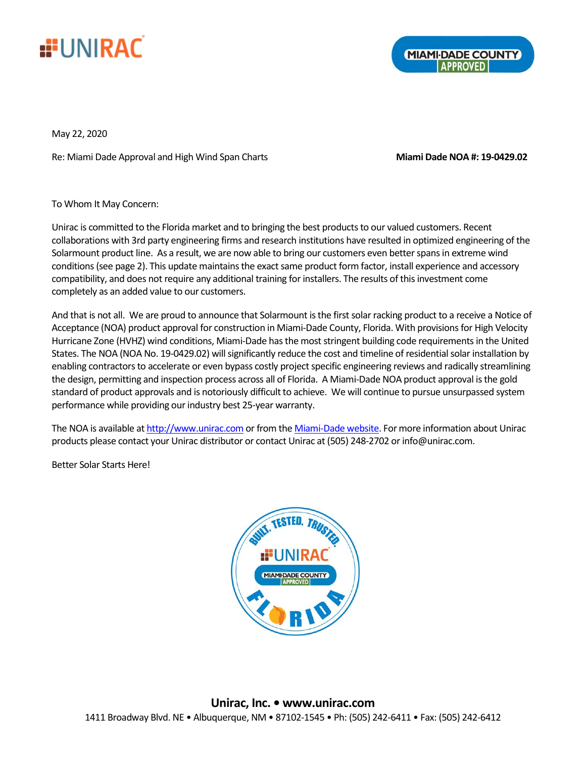

**MIAMI-DADE COUNTY** 

May 22, 2020

Re: Miami Dade Approval and High Wind Span Charts **Miami Dade NOA #: 19-0429.02**

To Whom It May Concern:

Unirac is committed to the Florida market and to bringing the best products to our valued customers. Recent collaborations with 3rd party engineering firms and research institutions have resulted in optimized engineering of the Solarmount product line. As a result, we are now able to bring our customers even better spans in extreme wind conditions(see page 2). This update maintains the exact same product form factor, install experience and accessory compatibility, and does not require any additional training for installers. The results of this investment come completely as an added value to our customers.

And that is not all. We are proud to announce that Solarmount is the first solar racking product to a receive a Notice of Acceptance (NOA) product approval for construction in Miami-Dade County, Florida. With provisions for High Velocity Hurricane Zone (HVHZ) wind conditions, Miami-Dade has the most stringent building code requirements in the United States. The NOA (NOA No. 19-0429.02) will significantly reduce the cost and timeline of residential solar installation by enabling contractors to accelerate or even bypass costly project specific engineering reviews and radically streamlining the design, permitting and inspection process across all of Florida. A Miami-Dade NOA product approval is the gold standard of product approvals and is notoriously difficult to achieve. We will continue to pursue unsurpassed system performance while providing our industry best 25-year warranty.

The NOA is available a[t http://www.unirac.com](http://www.unirac.com/) or from th[e Miami-Dade website.](http://www.miamidade.gov/building/library/productcontrol/noa/19042902.pdf) For more information about Unirac products please contact your Unirac distributor or contact Unirac at (505) 248-2702 or info@unirac.com.

Better Solar Starts Here!